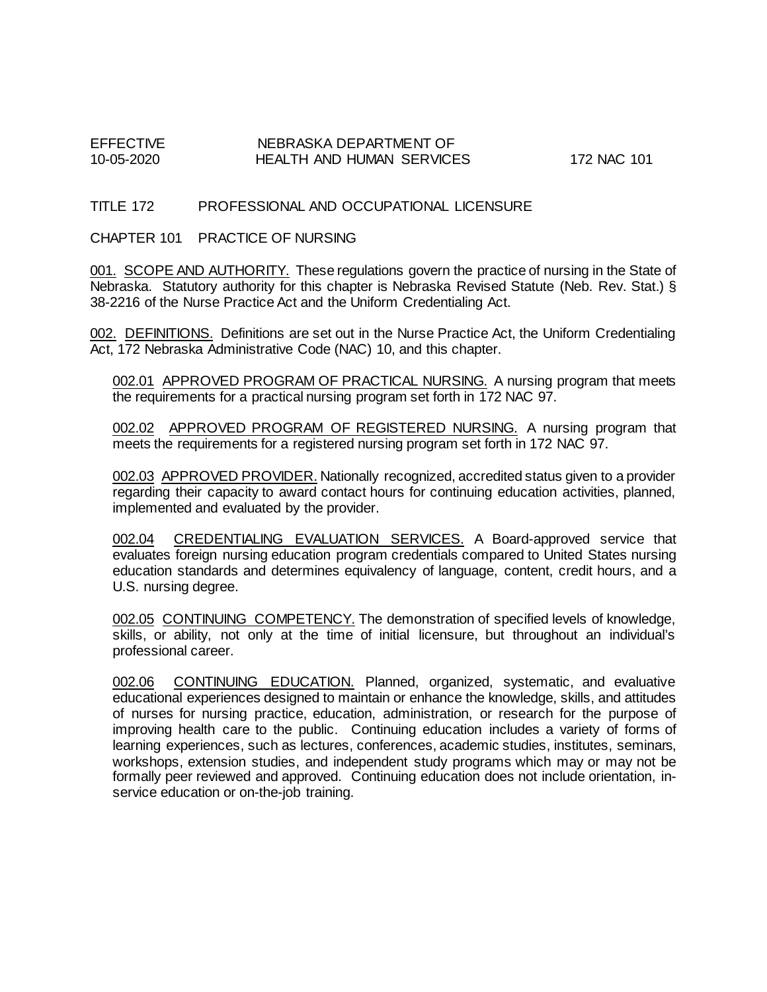# EFFECTIVE NEBRASKA DEPARTMENT OF 10-05-2020 HEALTH AND HUMAN SERVICES 172 NAC 101

## TITLE 172 PROFESSIONAL AND OCCUPATIONAL LICENSURE

CHAPTER 101 PRACTICE OF NURSING

001. SCOPE AND AUTHORITY. These regulations govern the practice of nursing in the State of Nebraska. Statutory authority for this chapter is Nebraska Revised Statute (Neb. Rev. Stat.) § 38-2216 of the Nurse Practice Act and the Uniform Credentialing Act.

002. DEFINITIONS. Definitions are set out in the Nurse Practice Act, the Uniform Credentialing Act, 172 Nebraska Administrative Code (NAC) 10, and this chapter.

002.01 APPROVED PROGRAM OF PRACTICAL NURSING. A nursing program that meets the requirements for a practical nursing program set forth in 172 NAC 97.

002.02 APPROVED PROGRAM OF REGISTERED NURSING. A nursing program that meets the requirements for a registered nursing program set forth in 172 NAC 97.

002.03 APPROVED PROVIDER. Nationally recognized, accredited status given to a provider regarding their capacity to award contact hours for continuing education activities, planned, implemented and evaluated by the provider.

002.04 CREDENTIALING EVALUATION SERVICES. A Board-approved service that evaluates foreign nursing education program credentials compared to United States nursing education standards and determines equivalency of language, content, credit hours, and a U.S. nursing degree.

002.05 CONTINUING COMPETENCY. The demonstration of specified levels of knowledge, skills, or ability, not only at the time of initial licensure, but throughout an individual's professional career.

002.06 CONTINUING EDUCATION. Planned, organized, systematic, and evaluative educational experiences designed to maintain or enhance the knowledge, skills, and attitudes of nurses for nursing practice, education, administration, or research for the purpose of improving health care to the public. Continuing education includes a variety of forms of learning experiences, such as lectures, conferences, academic studies, institutes, seminars, workshops, extension studies, and independent study programs which may or may not be formally peer reviewed and approved. Continuing education does not include orientation, inservice education or on-the-job training.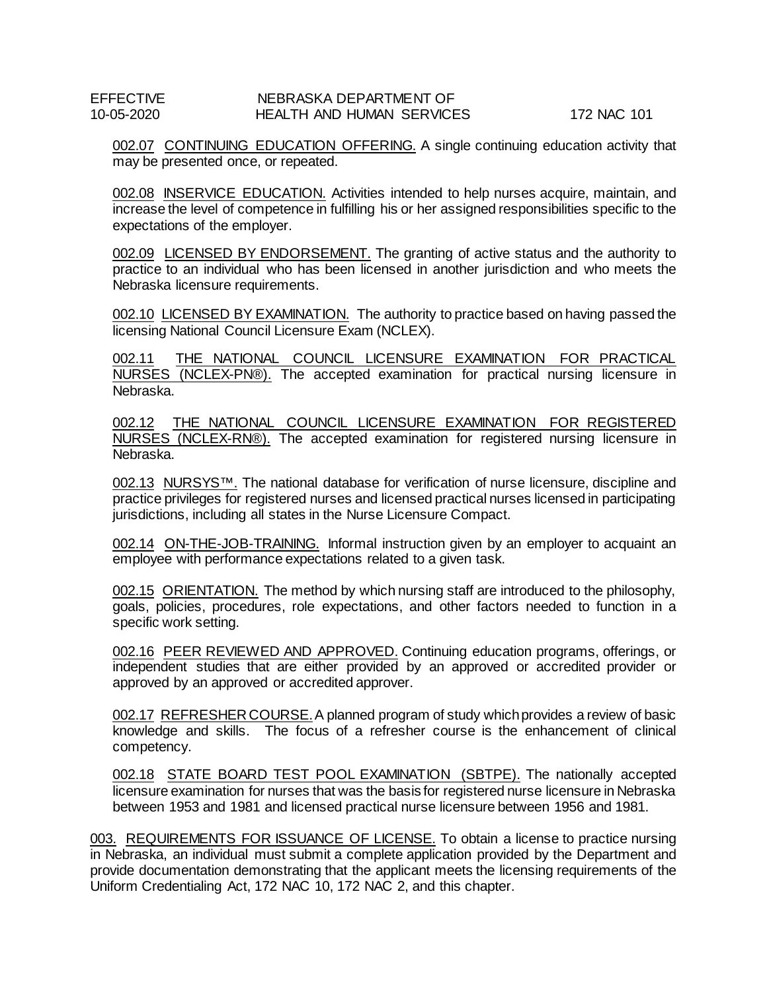002.07 CONTINUING EDUCATION OFFERING. A single continuing education activity that may be presented once, or repeated.

002.08 INSERVICE EDUCATION. Activities intended to help nurses acquire, maintain, and increase the level of competence in fulfilling his or her assigned responsibilities specific to the expectations of the employer.

002.09 LICENSED BY ENDORSEMENT. The granting of active status and the authority to practice to an individual who has been licensed in another jurisdiction and who meets the Nebraska licensure requirements.

002.10 LICENSED BY EXAMINATION. The authority to practice based on having passed the licensing National Council Licensure Exam (NCLEX).

002.11 THE NATIONAL COUNCIL LICENSURE EXAMINATION FOR PRACTICAL NURSES (NCLEX-PN®). The accepted examination for practical nursing licensure in Nebraska.

002.12 THE NATIONAL COUNCIL LICENSURE EXAMINATION FOR REGISTERED NURSES (NCLEX-RN®). The accepted examination for registered nursing licensure in Nebraska.

002.13 NURSYS™. The national database for verification of nurse licensure, discipline and practice privileges for registered nurses and licensed practical nurses licensed in participating jurisdictions, including all states in the Nurse Licensure Compact.

002.14 ON-THE-JOB-TRAINING. Informal instruction given by an employer to acquaint an employee with performance expectations related to a given task.

002.15 ORIENTATION. The method by which nursing staff are introduced to the philosophy, goals, policies, procedures, role expectations, and other factors needed to function in a specific work setting.

002.16 PEER REVIEWED AND APPROVED. Continuing education programs, offerings, or independent studies that are either provided by an approved or accredited provider or approved by an approved or accredited approver.

002.17 REFRESHER COURSE.A planned program of study which provides a review of basic knowledge and skills. The focus of a refresher course is the enhancement of clinical competency.

002.18 STATE BOARD TEST POOL EXAMINATION (SBTPE). The nationally accepted licensure examination for nurses that was the basis for registered nurse licensure in Nebraska between 1953 and 1981 and licensed practical nurse licensure between 1956 and 1981.

003. REQUIREMENTS FOR ISSUANCE OF LICENSE. To obtain a license to practice nursing in Nebraska, an individual must submit a complete application provided by the Department and provide documentation demonstrating that the applicant meets the licensing requirements of the Uniform Credentialing Act, 172 NAC 10, 172 NAC 2, and this chapter.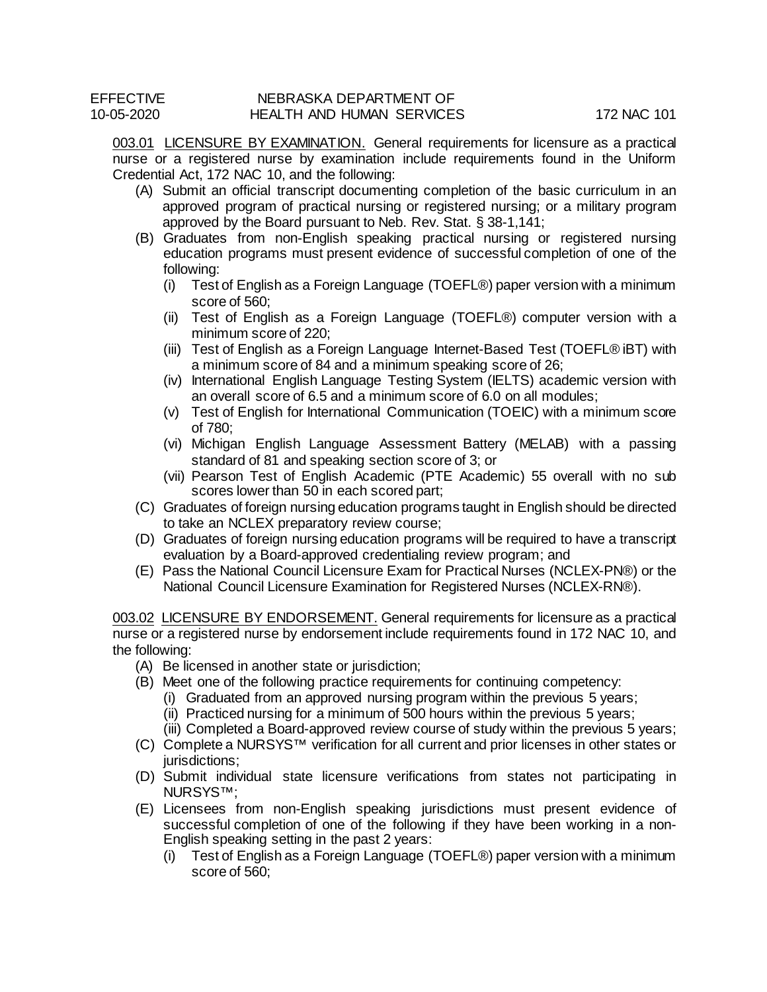003.01 LICENSURE BY EXAMINATION. General requirements for licensure as a practical nurse or a registered nurse by examination include requirements found in the Uniform Credential Act, 172 NAC 10, and the following:

- (A) Submit an official transcript documenting completion of the basic curriculum in an approved program of practical nursing or registered nursing; or a military program approved by the Board pursuant to Neb. Rev. Stat. § 38-1,141;
- (B) Graduates from non-English speaking practical nursing or registered nursing education programs must present evidence of successful completion of one of the following:
	- (i) Test of English as a Foreign Language (TOEFL®) paper version with a minimum score of 560;
	- (ii) Test of English as a Foreign Language (TOEFL®) computer version with a minimum score of 220;
	- (iii) Test of English as a Foreign Language Internet-Based Test (TOEFL® iBT) with a minimum score of 84 and a minimum speaking score of 26;
	- (iv) International English Language Testing System (IELTS) academic version with an overall score of 6.5 and a minimum score of 6.0 on all modules;
	- (v) Test of English for International Communication (TOEIC) with a minimum score of 780;
	- (vi) Michigan English Language Assessment Battery (MELAB) with a passing standard of 81 and speaking section score of 3; or
	- (vii) Pearson Test of English Academic (PTE Academic) 55 overall with no sub scores lower than 50 in each scored part;
- (C) Graduates of foreign nursing education programs taught in English should be directed to take an NCLEX preparatory review course;
- (D) Graduates of foreign nursing education programs will be required to have a transcript evaluation by a Board-approved credentialing review program; and
- (E) Pass the National Council Licensure Exam for Practical Nurses (NCLEX-PN®) or the National Council Licensure Examination for Registered Nurses (NCLEX-RN®).

003.02 LICENSURE BY ENDORSEMENT. General requirements for licensure as a practical nurse or a registered nurse by endorsement include requirements found in 172 NAC 10, and the following:

- (A) Be licensed in another state or jurisdiction;
- (B) Meet one of the following practice requirements for continuing competency:
	- (i) Graduated from an approved nursing program within the previous 5 years;
	- (ii) Practiced nursing for a minimum of 500 hours within the previous 5 years;
	- (iii) Completed a Board-approved review course of study within the previous 5 years;
- (C) Complete a NURSYS™ verification for all current and prior licenses in other states or jurisdictions:
- (D) Submit individual state licensure verifications from states not participating in NURSYS™;
- (E) Licensees from non-English speaking jurisdictions must present evidence of successful completion of one of the following if they have been working in a non-English speaking setting in the past 2 years:
	- (i) Test of English as a Foreign Language (TOEFL®) paper version with a minimum score of 560;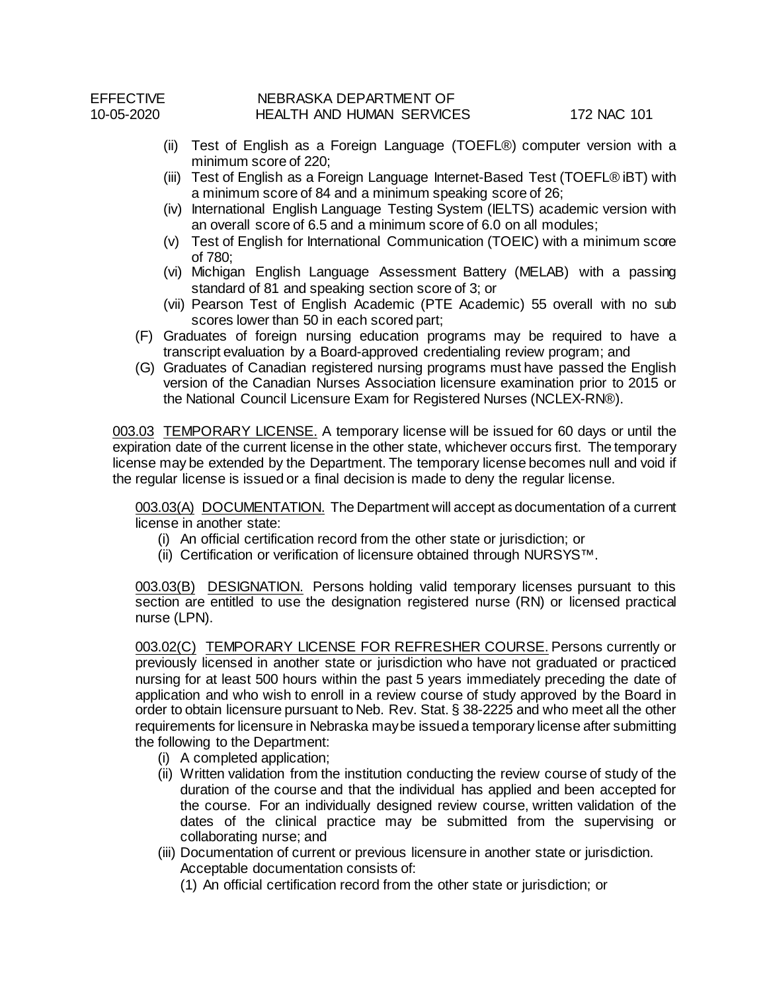- (ii) Test of English as a Foreign Language (TOEFL®) computer version with a minimum score of 220;
- (iii) Test of English as a Foreign Language Internet-Based Test (TOEFL® iBT) with a minimum score of 84 and a minimum speaking score of 26;
- (iv) International English Language Testing System (IELTS) academic version with an overall score of 6.5 and a minimum score of 6.0 on all modules;
- (v) Test of English for International Communication (TOEIC) with a minimum score of 780;
- (vi) Michigan English Language Assessment Battery (MELAB) with a passing standard of 81 and speaking section score of 3; or
- (vii) Pearson Test of English Academic (PTE Academic) 55 overall with no sub scores lower than 50 in each scored part;
- (F) Graduates of foreign nursing education programs may be required to have a transcript evaluation by a Board-approved credentialing review program; and
- (G) Graduates of Canadian registered nursing programs must have passed the English version of the Canadian Nurses Association licensure examination prior to 2015 or the National Council Licensure Exam for Registered Nurses (NCLEX-RN®).

003.03 TEMPORARY LICENSE. A temporary license will be issued for 60 days or until the expiration date of the current license in the other state, whichever occurs first. The temporary license may be extended by the Department. The temporary license becomes null and void if the regular license is issued or a final decision is made to deny the regular license.

003.03(A) DOCUMENTATION. The Department will accept as documentation of a current license in another state:

- (i) An official certification record from the other state or jurisdiction; or
- (ii) Certification or verification of licensure obtained through NURSYS*™*.

003.03(B) DESIGNATION. Persons holding valid temporary licenses pursuant to this section are entitled to use the designation registered nurse (RN) or licensed practical nurse (LPN).

003.02(C) TEMPORARY LICENSE FOR REFRESHER COURSE. Persons currently or previously licensed in another state or jurisdiction who have not graduated or practiced nursing for at least 500 hours within the past 5 years immediately preceding the date of application and who wish to enroll in a review course of study approved by the Board in order to obtain licensure pursuant to Neb. Rev. Stat. § 38-2225 and who meet all the other requirements for licensure in Nebraska may be issued a temporary license after submitting the following to the Department:

- (i) A completed application;
- (ii) Written validation from the institution conducting the review course of study of the duration of the course and that the individual has applied and been accepted for the course. For an individually designed review course, written validation of the dates of the clinical practice may be submitted from the supervising or collaborating nurse; and
- (iii) Documentation of current or previous licensure in another state or jurisdiction. Acceptable documentation consists of:
	- (1) An official certification record from the other state or jurisdiction; or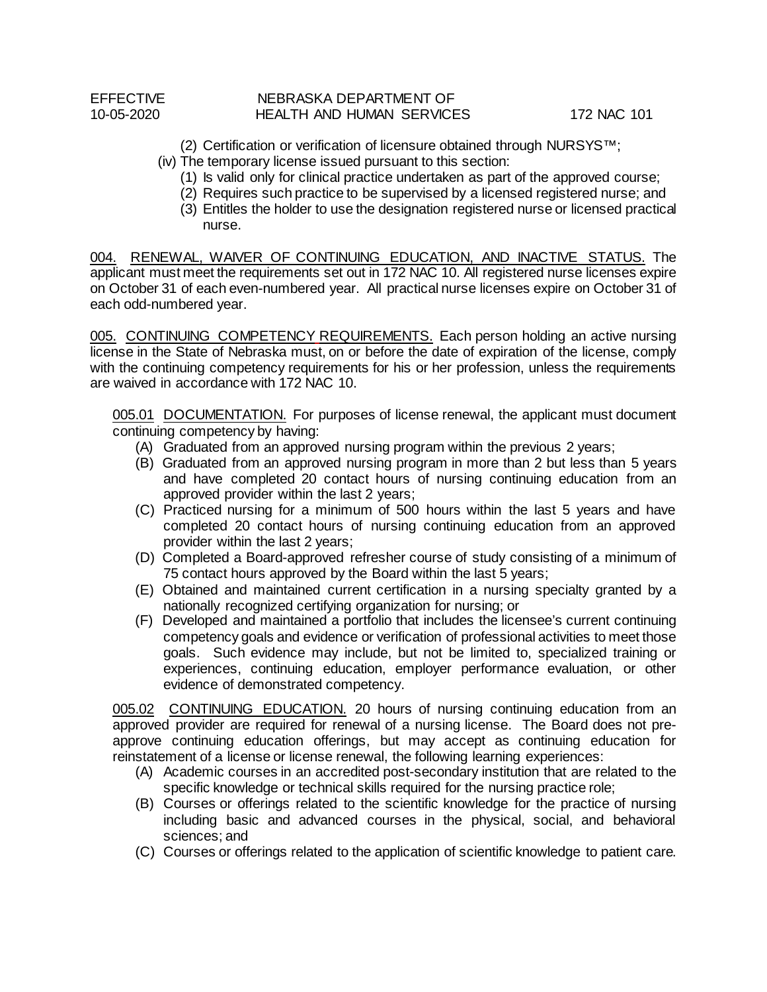(2) Certification or verification of licensure obtained through NURSYS*™*;

- (iv) The temporary license issued pursuant to this section:
	- (1) Is valid only for clinical practice undertaken as part of the approved course;
	- (2) Requires such practice to be supervised by a licensed registered nurse; and
	- (3) Entitles the holder to use the designation registered nurse or licensed practical nurse.

004. RENEWAL, WAIVER OF CONTINUING EDUCATION, AND INACTIVE STATUS. The applicant must meet the requirements set out in 172 NAC 10. All registered nurse licenses expire on October 31 of each even-numbered year. All practical nurse licenses expire on October 31 of each odd-numbered year.

005. CONTINUING COMPETENCY REQUIREMENTS. Each person holding an active nursing license in the State of Nebraska must, on or before the date of expiration of the license, comply with the continuing competency requirements for his or her profession, unless the requirements are waived in accordance with 172 NAC 10.

005.01 DOCUMENTATION. For purposes of license renewal, the applicant must document continuing competency by having:

- (A) Graduated from an approved nursing program within the previous 2 years;
- (B) Graduated from an approved nursing program in more than 2 but less than 5 years and have completed 20 contact hours of nursing continuing education from an approved provider within the last 2 years;
- (C) Practiced nursing for a minimum of 500 hours within the last 5 years and have completed 20 contact hours of nursing continuing education from an approved provider within the last 2 years;
- (D) Completed a Board-approved refresher course of study consisting of a minimum of 75 contact hours approved by the Board within the last 5 years;
- (E) Obtained and maintained current certification in a nursing specialty granted by a nationally recognized certifying organization for nursing; or
- (F) Developed and maintained a portfolio that includes the licensee's current continuing competency goals and evidence or verification of professional activities to meet those goals. Such evidence may include, but not be limited to, specialized training or experiences, continuing education, employer performance evaluation, or other evidence of demonstrated competency.

005.02 CONTINUING EDUCATION. 20 hours of nursing continuing education from an approved provider are required for renewal of a nursing license. The Board does not preapprove continuing education offerings, but may accept as continuing education for reinstatement of a license or license renewal, the following learning experiences:

- (A) Academic courses in an accredited post-secondary institution that are related to the specific knowledge or technical skills required for the nursing practice role;
- (B) Courses or offerings related to the scientific knowledge for the practice of nursing including basic and advanced courses in the physical, social, and behavioral sciences; and
- (C) Courses or offerings related to the application of scientific knowledge to patient care.